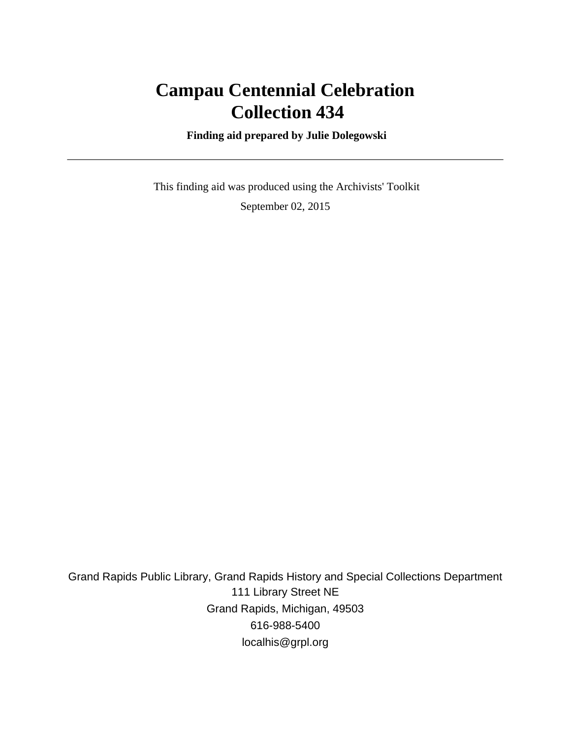# **Campau Centennial Celebration Collection 434**

 **Finding aid prepared by Julie Dolegowski**

 This finding aid was produced using the Archivists' Toolkit September 02, 2015

Grand Rapids Public Library, Grand Rapids History and Special Collections Department 111 Library Street NE Grand Rapids, Michigan, 49503 616-988-5400 localhis@grpl.org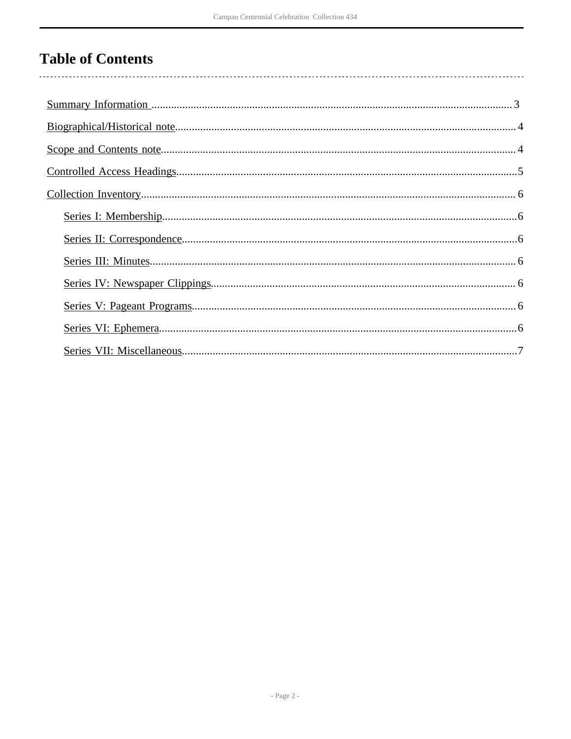## **Table of Contents**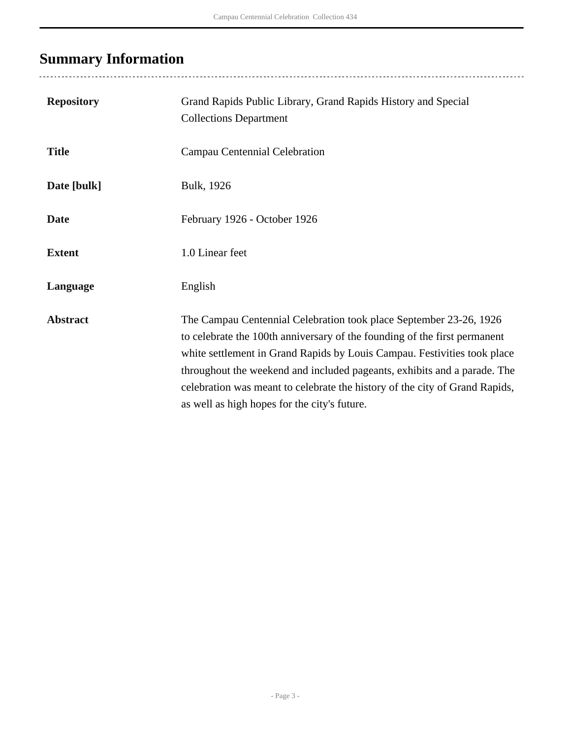# <span id="page-2-0"></span>**Summary Information**

| <b>Repository</b> | Grand Rapids Public Library, Grand Rapids History and Special<br><b>Collections Department</b>                                                                                                                                                                                                                                                                                                                                         |
|-------------------|----------------------------------------------------------------------------------------------------------------------------------------------------------------------------------------------------------------------------------------------------------------------------------------------------------------------------------------------------------------------------------------------------------------------------------------|
| <b>Title</b>      | Campau Centennial Celebration                                                                                                                                                                                                                                                                                                                                                                                                          |
| Date [bulk]       | Bulk, 1926                                                                                                                                                                                                                                                                                                                                                                                                                             |
| <b>Date</b>       | February 1926 - October 1926                                                                                                                                                                                                                                                                                                                                                                                                           |
| <b>Extent</b>     | 1.0 Linear feet                                                                                                                                                                                                                                                                                                                                                                                                                        |
| Language          | English                                                                                                                                                                                                                                                                                                                                                                                                                                |
| <b>Abstract</b>   | The Campau Centennial Celebration took place September 23-26, 1926<br>to celebrate the 100th anniversary of the founding of the first permanent<br>white settlement in Grand Rapids by Louis Campau. Festivities took place<br>throughout the weekend and included pageants, exhibits and a parade. The<br>celebration was meant to celebrate the history of the city of Grand Rapids,<br>as well as high hopes for the city's future. |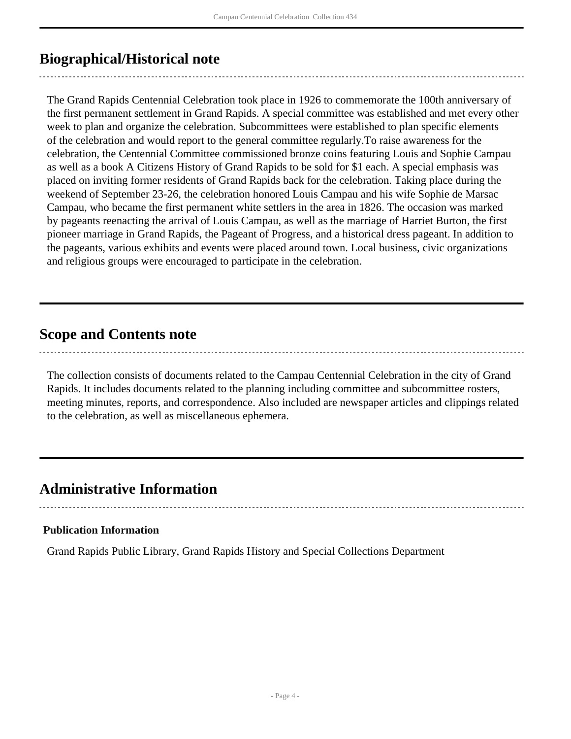### <span id="page-3-0"></span>**Biographical/Historical note**

The Grand Rapids Centennial Celebration took place in 1926 to commemorate the 100th anniversary of the first permanent settlement in Grand Rapids. A special committee was established and met every other week to plan and organize the celebration. Subcommittees were established to plan specific elements of the celebration and would report to the general committee regularly.To raise awareness for the celebration, the Centennial Committee commissioned bronze coins featuring Louis and Sophie Campau as well as a book A Citizens History of Grand Rapids to be sold for \$1 each. A special emphasis was placed on inviting former residents of Grand Rapids back for the celebration. Taking place during the weekend of September 23-26, the celebration honored Louis Campau and his wife Sophie de Marsac Campau, who became the first permanent white settlers in the area in 1826. The occasion was marked by pageants reenacting the arrival of Louis Campau, as well as the marriage of Harriet Burton, the first pioneer marriage in Grand Rapids, the Pageant of Progress, and a historical dress pageant. In addition to the pageants, various exhibits and events were placed around town. Local business, civic organizations and religious groups were encouraged to participate in the celebration.

### <span id="page-3-1"></span>**Scope and Contents note**

The collection consists of documents related to the Campau Centennial Celebration in the city of Grand Rapids. It includes documents related to the planning including committee and subcommittee rosters, meeting minutes, reports, and correspondence. Also included are newspaper articles and clippings related to the celebration, as well as miscellaneous ephemera.

### **Administrative Information**

#### **Publication Information**

Grand Rapids Public Library, Grand Rapids History and Special Collections Department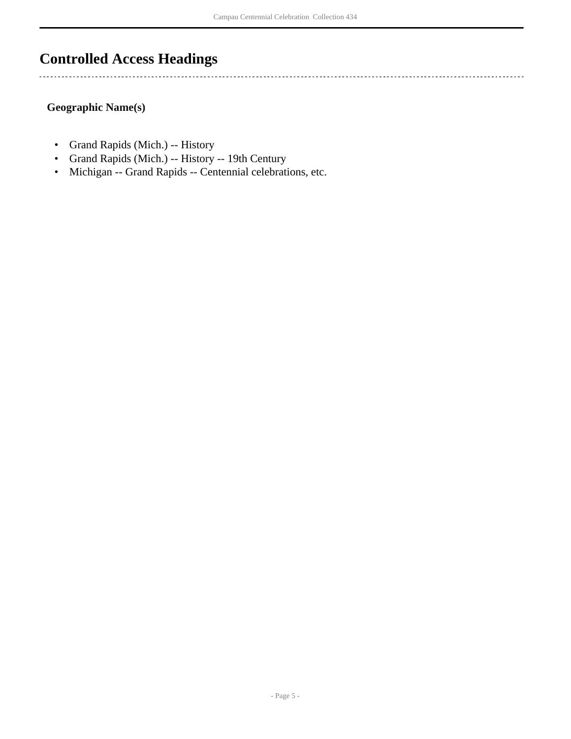### <span id="page-4-0"></span>**Controlled Access Headings**

**Geographic Name(s)**

 $\overline{a}$ 

- Grand Rapids (Mich.) -- History
- Grand Rapids (Mich.) -- History -- 19th Century
- Michigan -- Grand Rapids -- Centennial celebrations, etc.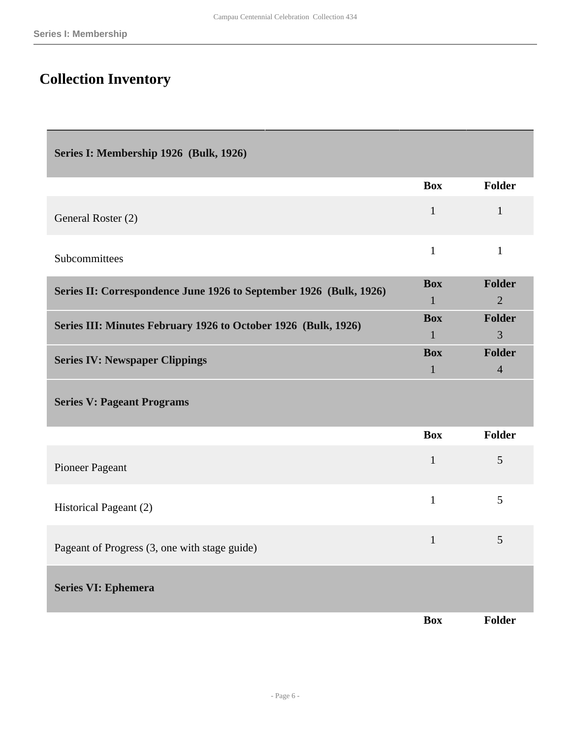Г

# <span id="page-5-0"></span>**Collection Inventory**

<span id="page-5-6"></span><span id="page-5-5"></span><span id="page-5-4"></span><span id="page-5-3"></span><span id="page-5-2"></span><span id="page-5-1"></span>

| Series I: Membership 1926 (Bulk, 1926)                             |                            |                          |
|--------------------------------------------------------------------|----------------------------|--------------------------|
|                                                                    | <b>Box</b>                 | Folder                   |
| General Roster (2)                                                 | $\mathbf{1}$               | $\mathbf{1}$             |
| Subcommittees                                                      | $\mathbf{1}$               | $\mathbf{1}$             |
| Series II: Correspondence June 1926 to September 1926 (Bulk, 1926) | <b>Box</b>                 | <b>Folder</b>            |
|                                                                    | $\mathbf{1}$               | $\overline{2}$           |
| Series III: Minutes February 1926 to October 1926 (Bulk, 1926)     | <b>Box</b>                 | Folder                   |
|                                                                    | $\mathbf{1}$               | 3                        |
| <b>Series IV: Newspaper Clippings</b>                              | <b>Box</b><br>$\mathbf{1}$ | Folder<br>$\overline{4}$ |
| <b>Series V: Pageant Programs</b>                                  | <b>Box</b>                 | <b>Folder</b>            |
|                                                                    |                            |                          |
| Pioneer Pageant                                                    | $\mathbf{1}$               | 5                        |
| Historical Pageant (2)                                             | $\mathbf{1}$               | 5                        |
| Pageant of Progress (3, one with stage guide)                      | $\mathbf{1}$               | 5                        |
| <b>Series VI: Ephemera</b>                                         |                            |                          |
|                                                                    | <b>Box</b>                 | Folder                   |